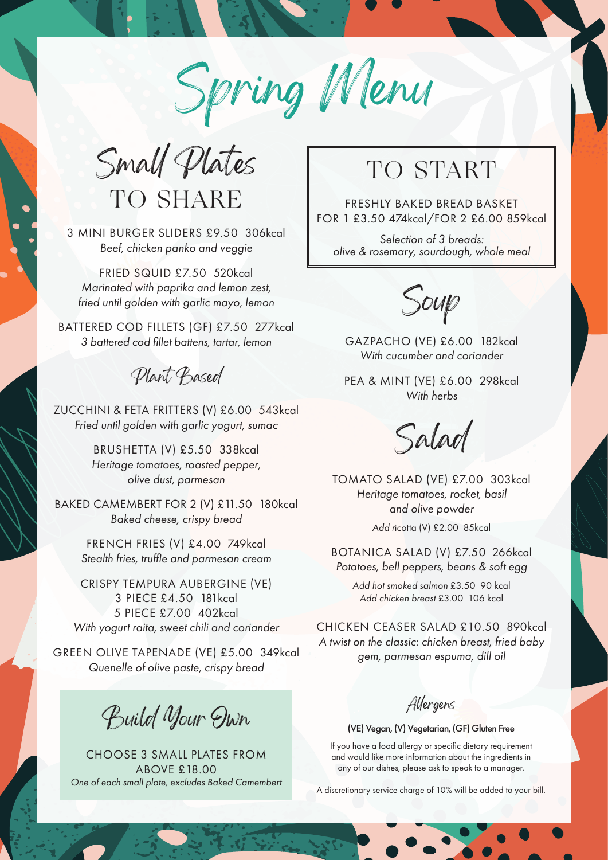Spring Menu

Small Plates TO SHARE

3 MINI BURGER SLIDERS £9.50 306kcal *Beef, chicken panko and veggie*

FRIED SQUID £7.50 520kcal *Marinated with paprika and lemon zest, fried until golden with garlic mayo, lemon*

BATTERED COD FILLETS (GF) £7.50 277kcal *3 battered cod fillet battens, tartar, lemon* 

Plant Based

ZUCCHINI & FETA FRITTERS (V) £6.00 543kcal *Fried until golden with garlic yogurt, sumac* 

> BRUSHETTA (V) £5.50 338kcal *Heritage tomatoes, roasted pepper, olive dust, parmesan*

BAKED CAMEMBERT FOR 2 (V) £11.50 180kcal *Baked cheese, crispy bread*

> FRENCH FRIES (V) £4.00 749kcal *Stealth fries, truffle and parmesan cream*

CRISPY TEMPURA AUBERGINE (VE) 3 PIECE £4.50 181kcal 5 PIECE £7.00 402kcal *With yogurt raita, sweet chili and coriander*

GREEN OLIVE TAPENADE (VE) £5.00 349kcal *Quenelle of olive paste, crispy bread*

Build Your Own

CHOOSE 3 SMALL PLATES FROM ABOVE £18.00 *One of each small plate, excludes Baked Camembert*

## TO START

FRESHLY BAKED BREAD BASKET FOR 1 £3.50 474kcal/FOR 2 £6.00 859kcal

*Selection of 3 breads: olive & rosemary, sourdough, whole meal*

Soup

GAZPACHO (VE) £6.00 182kcal *With cucumber and coriander*

PEA & MINT (VE) £6.00 298kcal *With herbs* 

Salad

TOMATO SALAD (VE) £7.00 303kcal *Heritage tomatoes, rocket, basil and olive powder* 

*Add r*icotta (V) £2.00 85kcal

BOTANICA SALAD (V) £7.50 266kcal *Potatoes, bell peppers, beans & soft egg*

> *Add hot smoked salmon* £3.50 90 kcal *Add chicken breast* £3.00 106 kcal

CHICKEN CEASER SALAD £10.50 890kcal *A twist on the classic: chicken breast, fried baby gem, parmesan espuma, dill oil*

Allergens

(VE) Vegan, (V) Vegetarian, (GF) Gluten Free

If you have a food allergy or specific dietary requirement and would like more information about the ingredients in any of our dishes, please ask to speak to a manager.

A discretionary service charge of 10% will be added to your bill.